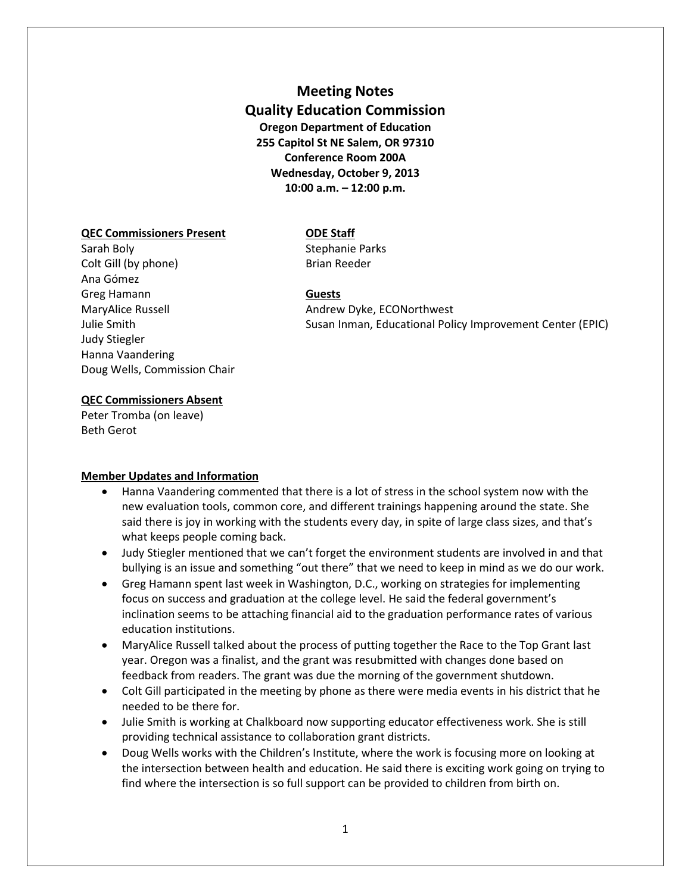# **Meeting Notes Quality Education Commission Oregon Department of Education 255 Capitol St NE Salem, OR 97310 Conference Room 200A Wednesday, October 9, 2013 10:00 a.m. – 12:00 p.m.**

## **QEC Commissioners Present ODE Staff**

Sarah Boly **Sarah Boly** Stephanie Parks Colt Gill (by phone) Brian Reeder Ana Gómez Greg Hamann **Guests** Judy Stiegler Hanna Vaandering Doug Wells, Commission Chair

MaryAlice Russell **Andrew Dyke, ECONorthwest** Julie Smith Susan Inman, Educational Policy Improvement Center (EPIC)

## **QEC Commissioners Absent**

Peter Tromba (on leave) Beth Gerot

## **Member Updates and Information**

- Hanna Vaandering commented that there is a lot of stress in the school system now with the new evaluation tools, common core, and different trainings happening around the state. She said there is joy in working with the students every day, in spite of large class sizes, and that's what keeps people coming back.
- Judy Stiegler mentioned that we can't forget the environment students are involved in and that bullying is an issue and something "out there" that we need to keep in mind as we do our work.
- Greg Hamann spent last week in Washington, D.C., working on strategies for implementing focus on success and graduation at the college level. He said the federal government's inclination seems to be attaching financial aid to the graduation performance rates of various education institutions.
- MaryAlice Russell talked about the process of putting together the Race to the Top Grant last year. Oregon was a finalist, and the grant was resubmitted with changes done based on feedback from readers. The grant was due the morning of the government shutdown.
- Colt Gill participated in the meeting by phone as there were media events in his district that he needed to be there for.
- Julie Smith is working at Chalkboard now supporting educator effectiveness work. She is still providing technical assistance to collaboration grant districts.
- Doug Wells works with the Children's Institute, where the work is focusing more on looking at the intersection between health and education. He said there is exciting work going on trying to find where the intersection is so full support can be provided to children from birth on.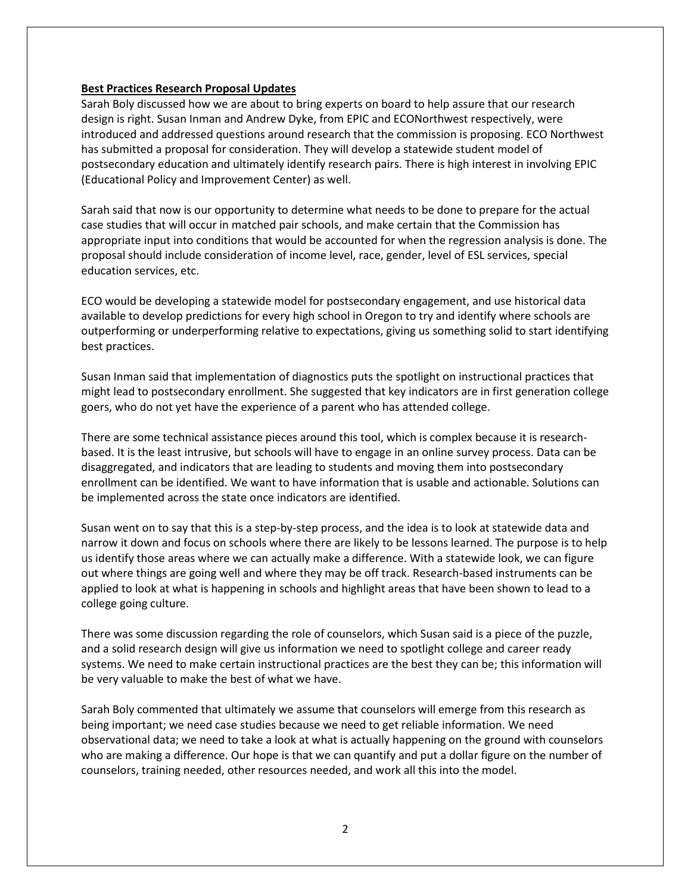#### **Best Practices Research Proposal Updates**

Sarah Boly discussed how we are about to bring experts on board to help assure that our research design is right. Susan Inman and Andrew Dyke, from EPIC and ECONorthwest respectively, were introduced and addressed questions around research that the commission is proposing. ECO Northwest has submitted a proposal for consideration. They will develop a statewide student model of postsecondary education and ultimately identify research pairs. There is high interest in involving EPIC (Educational Policy and Improvement Center) as well.

Sarah said that now is our opportunity to determine what needs to be done to prepare for the actual case studies that will occur in matched pair schools, and make certain that the Commission has appropriate input into conditions that would be accounted for when the regression analysis is done. The proposal should include consideration of income level, race, gender, level of ESL services, special education services, etc.

ECO would be developing a statewide model for postsecondary engagement, and use historical data available to develop predictions for every high school in Oregon to try and identify where schools are outperforming or underperforming relative to expectations, giving us something solid to start identifying best practices.

Susan Inman said that implementation of diagnostics puts the spotlight on instructional practices that might lead to postsecondary enrollment. She suggested that key indicators are in first generation college goers, who do not yet have the experience of a parent who has attended college.

There are some technical assistance pieces around this tool, which is complex because it is researchbased. It is the least intrusive, but schools will have to engage in an online survey process. Data can be disaggregated, and indicators that are leading to students and moving them into postsecondary enrollment can be identified. We want to have information that is usable and actionable. Solutions can be implemented across the state once indicators are identified.

Susan went on to say that this is a step-by-step process, and the idea is to look at statewide data and narrow it down and focus on schools where there are likely to be lessons learned. The purpose is to help us identify those areas where we can actually make a difference. With a statewide look, we can figure out where things are going well and where they may be off track. Research-based instruments can be applied to look at what is happening in schools and highlight areas that have been shown to lead to a college going culture.

There was some discussion regarding the role of counselors, which Susan said is a piece of the puzzle, and a solid research design will give us information we need to spotlight college and career ready systems. We need to make certain instructional practices are the best they can be; this information will be very valuable to make the best of what we have.

Sarah Boly commented that ultimately we assume that counselors will emerge from this research as being important; we need case studies because we need to get reliable information. We need observational data; we need to take a look at what is actually happening on the ground with counselors who are making a difference. Our hope is that we can quantify and put a dollar figure on the number of counselors, training needed, other resources needed, and work all this into the model.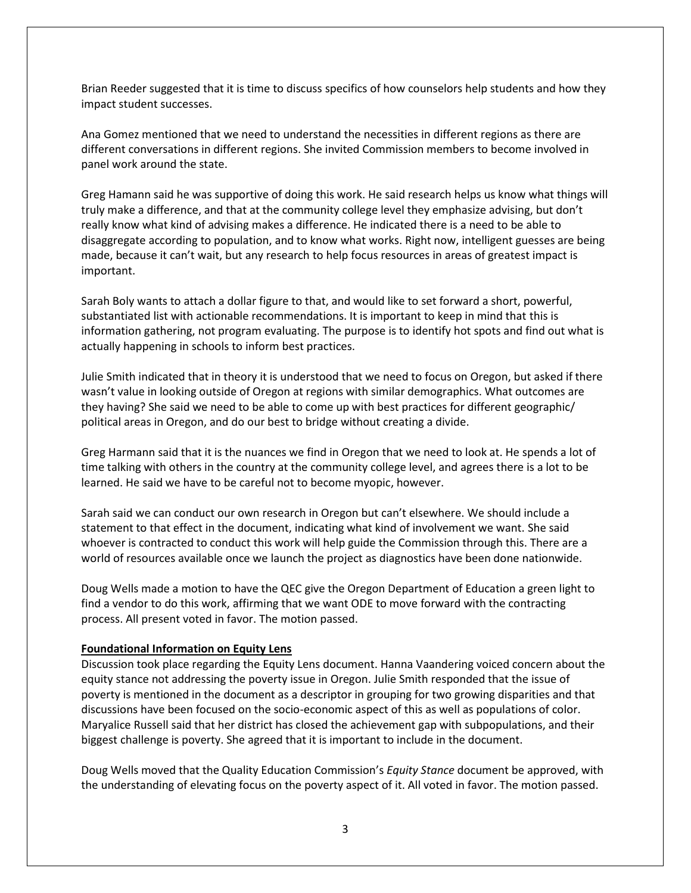Brian Reeder suggested that it is time to discuss specifics of how counselors help students and how they impact student successes.

Ana Gomez mentioned that we need to understand the necessities in different regions as there are different conversations in different regions. She invited Commission members to become involved in panel work around the state.

Greg Hamann said he was supportive of doing this work. He said research helps us know what things will truly make a difference, and that at the community college level they emphasize advising, but don't really know what kind of advising makes a difference. He indicated there is a need to be able to disaggregate according to population, and to know what works. Right now, intelligent guesses are being made, because it can't wait, but any research to help focus resources in areas of greatest impact is important.

Sarah Boly wants to attach a dollar figure to that, and would like to set forward a short, powerful, substantiated list with actionable recommendations. It is important to keep in mind that this is information gathering, not program evaluating. The purpose is to identify hot spots and find out what is actually happening in schools to inform best practices.

Julie Smith indicated that in theory it is understood that we need to focus on Oregon, but asked if there wasn't value in looking outside of Oregon at regions with similar demographics. What outcomes are they having? She said we need to be able to come up with best practices for different geographic/ political areas in Oregon, and do our best to bridge without creating a divide.

Greg Harmann said that it is the nuances we find in Oregon that we need to look at. He spends a lot of time talking with others in the country at the community college level, and agrees there is a lot to be learned. He said we have to be careful not to become myopic, however.

Sarah said we can conduct our own research in Oregon but can't elsewhere. We should include a statement to that effect in the document, indicating what kind of involvement we want. She said whoever is contracted to conduct this work will help guide the Commission through this. There are a world of resources available once we launch the project as diagnostics have been done nationwide.

Doug Wells made a motion to have the QEC give the Oregon Department of Education a green light to find a vendor to do this work, affirming that we want ODE to move forward with the contracting process. All present voted in favor. The motion passed.

## **Foundational Information on Equity Lens**

Discussion took place regarding the Equity Lens document. Hanna Vaandering voiced concern about the equity stance not addressing the poverty issue in Oregon. Julie Smith responded that the issue of poverty is mentioned in the document as a descriptor in grouping for two growing disparities and that discussions have been focused on the socio-economic aspect of this as well as populations of color. Maryalice Russell said that her district has closed the achievement gap with subpopulations, and their biggest challenge is poverty. She agreed that it is important to include in the document.

Doug Wells moved that the Quality Education Commission's *Equity Stance* document be approved, with the understanding of elevating focus on the poverty aspect of it. All voted in favor. The motion passed.